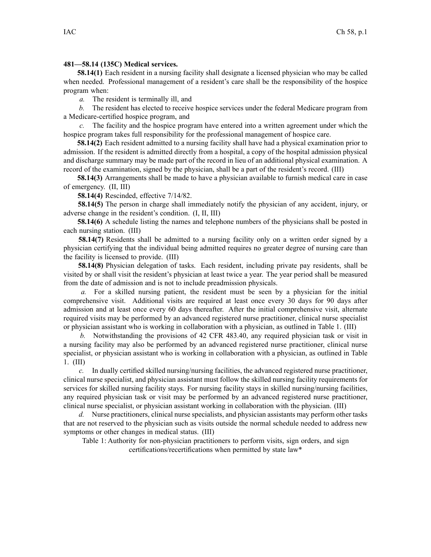## **481—58.14 (135C) Medical services.**

**58.14(1)** Each resident in <sup>a</sup> nursing facility shall designate <sup>a</sup> licensed physician who may be called when needed. Professional managemen<sup>t</sup> of <sup>a</sup> resident's care shall be the responsibility of the hospice program when:

*a.* The resident is terminally ill, and

*b.* The resident has elected to receive hospice services under the federal Medicare program from <sup>a</sup> Medicare-certified hospice program, and

*c.* The facility and the hospice program have entered into <sup>a</sup> written agreemen<sup>t</sup> under which the hospice program takes full responsibility for the professional managemen<sup>t</sup> of hospice care.

**58.14(2)** Each resident admitted to <sup>a</sup> nursing facility shall have had <sup>a</sup> physical examination prior to admission. If the resident is admitted directly from <sup>a</sup> hospital, <sup>a</sup> copy of the hospital admission physical and discharge summary may be made par<sup>t</sup> of the record in lieu of an additional physical examination. A record of the examination, signed by the physician, shall be <sup>a</sup> par<sup>t</sup> of the resident's record. (III)

**58.14(3)** Arrangements shall be made to have <sup>a</sup> physician available to furnish medical care in case of emergency. (II, III)

**58.14(4)** Rescinded, effective 7/14/82.

**58.14(5)** The person in charge shall immediately notify the physician of any accident, injury, or adverse change in the resident's condition. (I, II, III)

**58.14(6)** A schedule listing the names and telephone numbers of the physicians shall be posted in each nursing station. (III)

**58.14(7)** Residents shall be admitted to <sup>a</sup> nursing facility only on <sup>a</sup> written order signed by <sup>a</sup> physician certifying that the individual being admitted requires no greater degree of nursing care than the facility is licensed to provide. (III)

**58.14(8)** Physician delegation of tasks. Each resident, including private pay residents, shall be visited by or shall visit the resident's physician at least twice <sup>a</sup> year. The year period shall be measured from the date of admission and is not to include preadmission physicals.

*a.* For <sup>a</sup> skilled nursing patient, the resident must be seen by <sup>a</sup> physician for the initial comprehensive visit. Additional visits are required at least once every 30 days for 90 days after admission and at least once every 60 days thereafter. After the initial comprehensive visit, alternate required visits may be performed by an advanced registered nurse practitioner, clinical nurse specialist or physician assistant who is working in collaboration with <sup>a</sup> physician, as outlined in Table 1. (III)

*b.* Notwithstanding the provisions of 42 CFR 483.40, any required physician task or visit in <sup>a</sup> nursing facility may also be performed by an advanced registered nurse practitioner, clinical nurse specialist, or physician assistant who is working in collaboration with <sup>a</sup> physician, as outlined in Table 1. (III)

*c.* In dually certified skilled nursing/nursing facilities, the advanced registered nurse practitioner, clinical nurse specialist, and physician assistant must follow the skilled nursing facility requirements for services for skilled nursing facility stays. For nursing facility stays in skilled nursing/nursing facilities, any required physician task or visit may be performed by an advanced registered nurse practitioner, clinical nurse specialist, or physician assistant working in collaboration with the physician. (III)

*d.* Nurse practitioners, clinical nurse specialists, and physician assistants may perform other tasks that are not reserved to the physician such as visits outside the normal schedule needed to address new symptoms or other changes in medical status. (III)

Table 1: Authority for non-physician practitioners to perform visits, sign orders, and sign certifications/recertifications when permitted by state law\*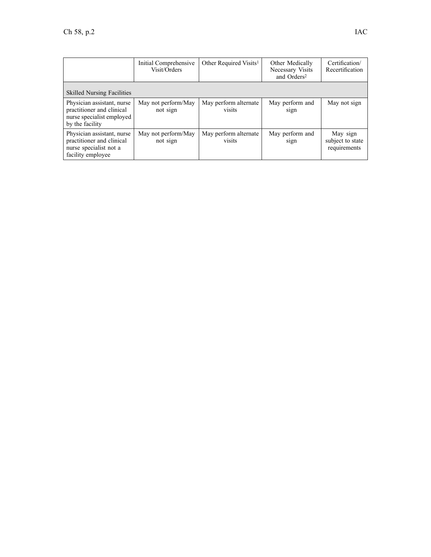|                                                                                                         | Initial Comprehensive<br>Visit/Orders | Other Required Visits <sup>1</sup> | Other Medically<br>Necessary Visits<br>and Orders <sup>2</sup> | Certification/<br>Recertification            |
|---------------------------------------------------------------------------------------------------------|---------------------------------------|------------------------------------|----------------------------------------------------------------|----------------------------------------------|
| <b>Skilled Nursing Facilities</b>                                                                       |                                       |                                    |                                                                |                                              |
| Physician assistant, nurse<br>practitioner and clinical<br>nurse specialist employed<br>by the facility | May not perform/May<br>not sign       | May perform alternate<br>visits    | May perform and<br>sign                                        | May not sign                                 |
| Physician assistant, nurse<br>practitioner and clinical<br>nurse specialist not a<br>facility employee  | May not perform/May<br>not sign       | May perform alternate<br>visits    | May perform and<br>sign                                        | May sign<br>subject to state<br>requirements |